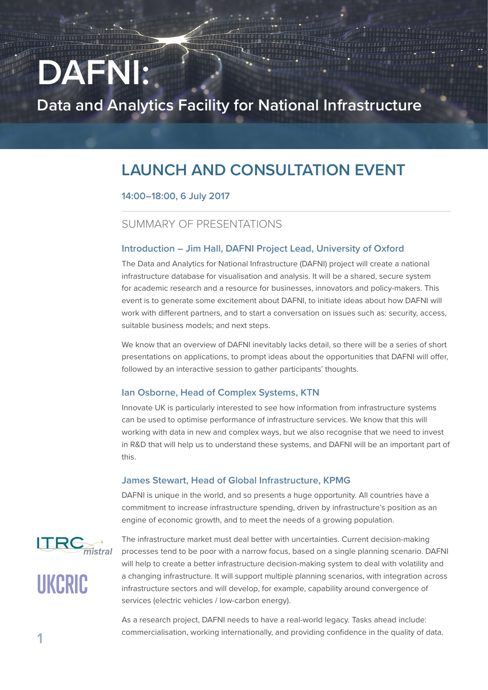# **DAFNI:**

**Data and Analytics Facility for National Infrastructure**

# **LAUNCH AND CONSULTATION EVENT**

## **14:00–18:00, 6 July 2017**

# SUMMARY OF PRESENTATIONS

#### **Introduction – Jim Hall, DAFNI Project Lead, University of Oxford**

The Data and Analytics for National Infrastructure (DAFNI) project will create a national infrastructure database for visualisation and analysis. It will be a shared, secure system for academic research and a resource for businesses, innovators and policy-makers. This event is to generate some excitement about DAFNI, to initiate ideas about how DAFNI will work with different partners, and to start a conversation on issues such as: security, access, suitable business models; and next steps.

We know that an overview of DAFNI inevitably lacks detail, so there will be a series of short presentations on applications, to prompt ideas about the opportunities that DAFNI will offer, followed by an interactive session to gather participants' thoughts.

#### **Ian Osborne, Head of Complex Systems, KTN**

Innovate UK is particularly interested to see how information from infrastructure systems can be used to optimise performance of infrastructure services. We know that this will working with data in new and complex ways, but we also recognise that we need to invest in R&D that will help us to understand these systems, and DAFNI will be an important part of this.

#### **James Stewart, Head of Global Infrastructure, KPMG**

DAFNI is unique in the world, and so presents a huge opportunity. All countries have a commitment to increase infrastructure spending, driven by infrastructure's position as an engine of economic growth, and to meet the needs of a growing population.



**UKCRIC**

The infrastructure market must deal better with uncertainties. Current decision-making processes tend to be poor with a narrow focus, based on a single planning scenario. DAFNI will help to create a better infrastructure decision-making system to deal with volatility and a changing infrastructure. It will support multiple planning scenarios, with integration across infrastructure sectors and will develop, for example, capability around convergence of services (electric vehicles / low-carbon energy).

As a research project, DAFNI needs to have a real-world legacy. Tasks ahead include: commercialisation, working internationally, and providing confidence in the quality of data.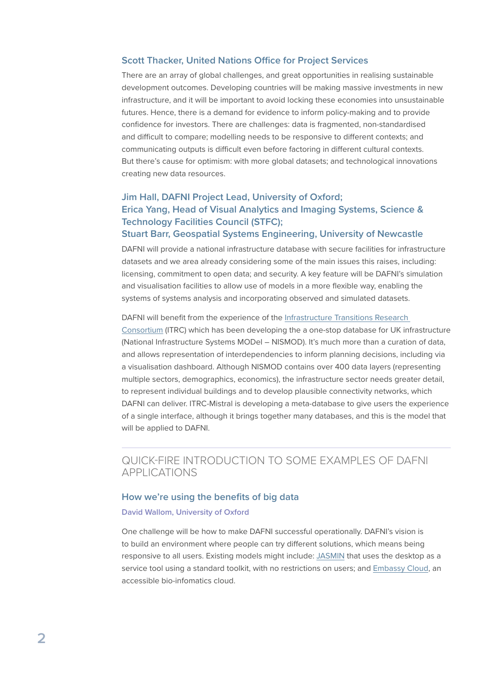#### **Scott Thacker, United Nations Office for Project Services**

There are an array of global challenges, and great opportunities in realising sustainable development outcomes. Developing countries will be making massive investments in new infrastructure, and it will be important to avoid locking these economies into unsustainable futures. Hence, there is a demand for evidence to inform policy-making and to provide confidence for investors. There are challenges: data is fragmented, non-standardised and difficult to compare; modelling needs to be responsive to different contexts; and communicating outputs is difficult even before factoring in different cultural contexts. But there's cause for optimism: with more global datasets; and technological innovations creating new data resources.

# **Jim Hall, DAFNI Project Lead, University of Oxford; Erica Yang, Head of Visual Analytics and Imaging Systems, Science & Technology Facilities Council (STFC);**

#### **Stuart Barr, Geospatial Systems Engineering, University of Newcastle**

DAFNI will provide a national infrastructure database with secure facilities for infrastructure datasets and we area already considering some of the main issues this raises, including: licensing, commitment to open data; and security. A key feature will be DAFNI's simulation and visualisation facilities to allow use of models in a more flexible way, enabling the systems of systems analysis and incorporating observed and simulated datasets.

#### DAFNI will benefit from the experience of the [Infrastructure Transitions Research](http://www.itrc.org.uk/)

[Consortium](http://www.itrc.org.uk/) (ITRC) which has been developing the a one-stop database for UK infrastructure (National Infrastructure Systems MODel – NISMOD). It's much more than a curation of data, and allows representation of interdependencies to inform planning decisions, including via a visualisation dashboard. Although NISMOD contains over 400 data layers (representing multiple sectors, demographics, economics), the infrastructure sector needs greater detail, to represent individual buildings and to develop plausible connectivity networks, which DAFNI can deliver. ITRC-Mistral is developing a meta-database to give users the experience of a single interface, although it brings together many databases, and this is the model that will be applied to DAFNI.

# QUICK-FIRE INTRODUCTION TO SOME EXAMPLES OF DAFNI APPLICATIONS

#### **How we're using the benefits of big data**

#### **David Wallom, University of Oxford**

One challenge will be how to make DAFNI successful operationally. DAFNI's vision is to build an environment where people can try different solutions, which means being responsive to all users. Existing models might include: [JASMIN](http://jasmin.ac.uk/) that uses the desktop as a service tool using a standard toolkit, with no restrictions on users; and [Embassy Cloud,](http://www.embassycloud.org/) an accessible bio-infomatics cloud.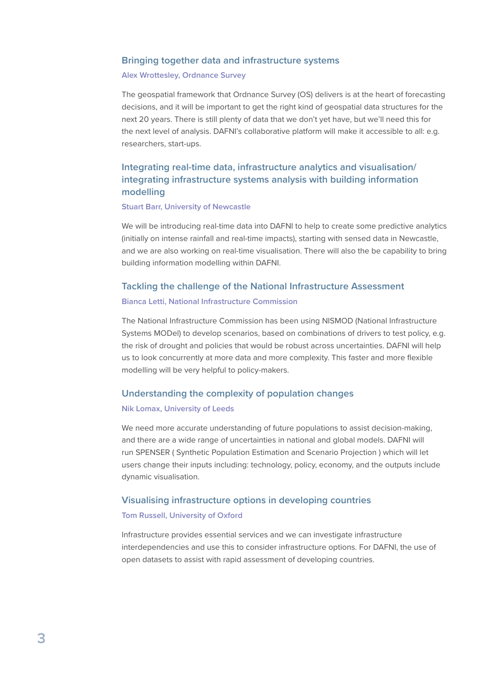#### **Bringing together data and infrastructure systems**

#### **Alex Wrottesley, Ordnance Survey**

The geospatial framework that Ordnance Survey (OS) delivers is at the heart of forecasting decisions, and it will be important to get the right kind of geospatial data structures for the next 20 years. There is still plenty of data that we don't yet have, but we'll need this for the next level of analysis. DAFNI's collaborative platform will make it accessible to all: e.g. researchers, start-ups.

# **Integrating real-time data, infrastructure analytics and visualisation/ integrating infrastructure systems analysis with building information modelling**

#### **Stuart Barr, University of Newcastle**

We will be introducing real-time data into DAFNI to help to create some predictive analytics (initially on intense rainfall and real-time impacts), starting with sensed data in Newcastle, and we are also working on real-time visualisation. There will also the be capability to bring building information modelling within DAFNI.

## **Tackling the challenge of the National Infrastructure Assessment Bianca Letti, National Infrastructure Commission**

The National Infrastructure Commission has been using NISMOD (National Infrastructure Systems MODel) to develop scenarios, based on combinations of drivers to test policy, e.g. the risk of drought and policies that would be robust across uncertainties. DAFNI will help us to look concurrently at more data and more complexity. This faster and more flexible modelling will be very helpful to policy-makers.

#### **Understanding the complexity of population changes**

#### **Nik Lomax, University of Leeds**

We need more accurate understanding of future populations to assist decision-making, and there are a wide range of uncertainties in national and global models. DAFNI will run SPENSER ( Synthetic Population Estimation and Scenario Projection ) which will let users change their inputs including: technology, policy, economy, and the outputs include dynamic visualisation.

#### **Visualising infrastructure options in developing countries**

#### **Tom Russell, University of Oxford**

Infrastructure provides essential services and we can investigate infrastructure interdependencies and use this to consider infrastructure options. For DAFNI, the use of open datasets to assist with rapid assessment of developing countries.